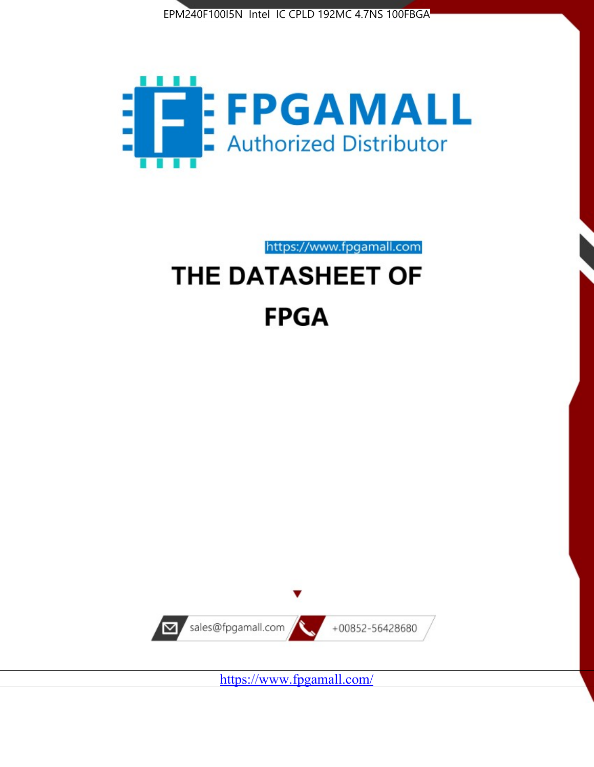



https://www.fpgamall.com THE DATASHEET OF

# **FPGA**



https://www.fpgamall.com/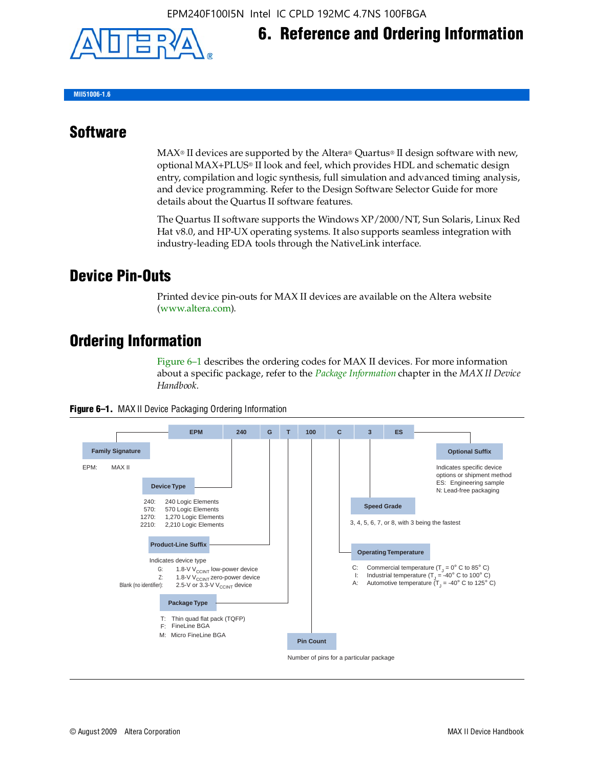

## **6. Reference and Ordering Information**

**MII51006-1.6**

#### **Software**

 $MAX<sup>®</sup>$  II devices are supported by the Altera® Quartus<sup>®</sup> II design software with new, optional MAX+PLUS® II look and feel, which provides HDL and schematic design entry, compilation and logic synthesis, full simulation and advanced timing analysis, and device programming. Refer to the Design Software Selector Guide for more details about the Quartus II software features.

The Quartus II software supports the Windows XP/2000/NT, Sun Solaris, Linux Red Hat v8.0, and HP-UX operating systems. It also supports seamless integration with industry-leading EDA tools through the NativeLink interface.

#### **Device Pin-Outs**

Printed device pin-outs for MAX II devices are available on the Altera website ([www.altera.com](http://www.altera.com/)).

### **Ordering Information**

Figure 6–1 describes the ordering codes for MAX II devices. For more information about a specific package, refer to the *[Package Information](http://www.altera.com/literature/hb/max2/max2_mii51007.pdf)* chapter in the *MAX II Device Handbook*.



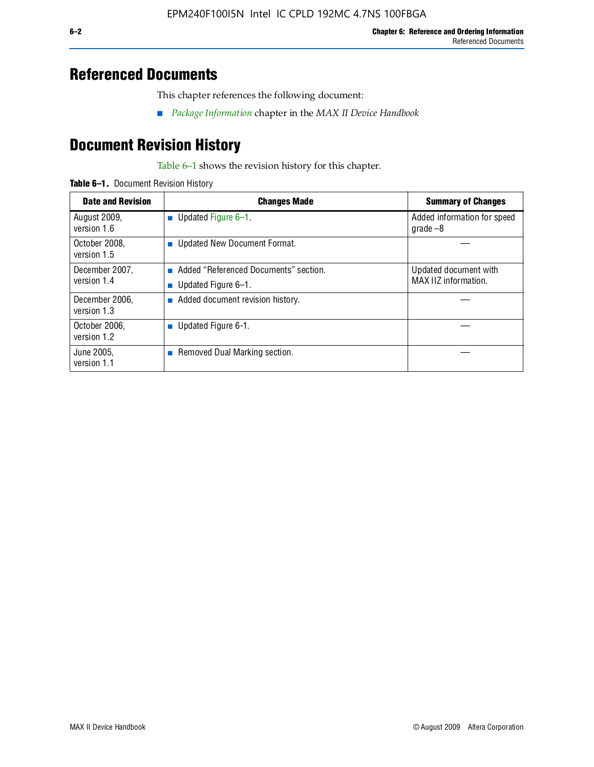## **Referenced Documents**

This chapter references the following document:

■ *[Package Information](http://www.altera.com/literature/hb/max2/max2_mii51007.pdf)* chapter in the *MAX II Device Handbook*

# **Document Revision History**

Table 6–1 shows the revision history for this chapter.

| Table 6-1. Document Revision History |
|--------------------------------------|
|                                      |

| <b>Date and Revision</b>      | <b>Changes Made</b>                                          | <b>Summary of Changes</b>                     |
|-------------------------------|--------------------------------------------------------------|-----------------------------------------------|
| August 2009,<br>version 1.6   | Updated Figure 6-1.<br>п                                     | Added information for speed<br>grade $-8$     |
| October 2008,<br>version 1.5  | Updated New Document Format.                                 |                                               |
| December 2007,<br>version 1.4 | Added "Referenced Documents" section.<br>Updated Figure 6-1. | Updated document with<br>MAX IIZ information. |
| December 2006,<br>version 1.3 | Added document revision history.                             |                                               |
| October 2006.<br>version 1.2  | Updated Figure 6-1.                                          |                                               |
| June 2005.<br>version 1.1     | $\blacksquare$ Removed Dual Marking section.                 |                                               |